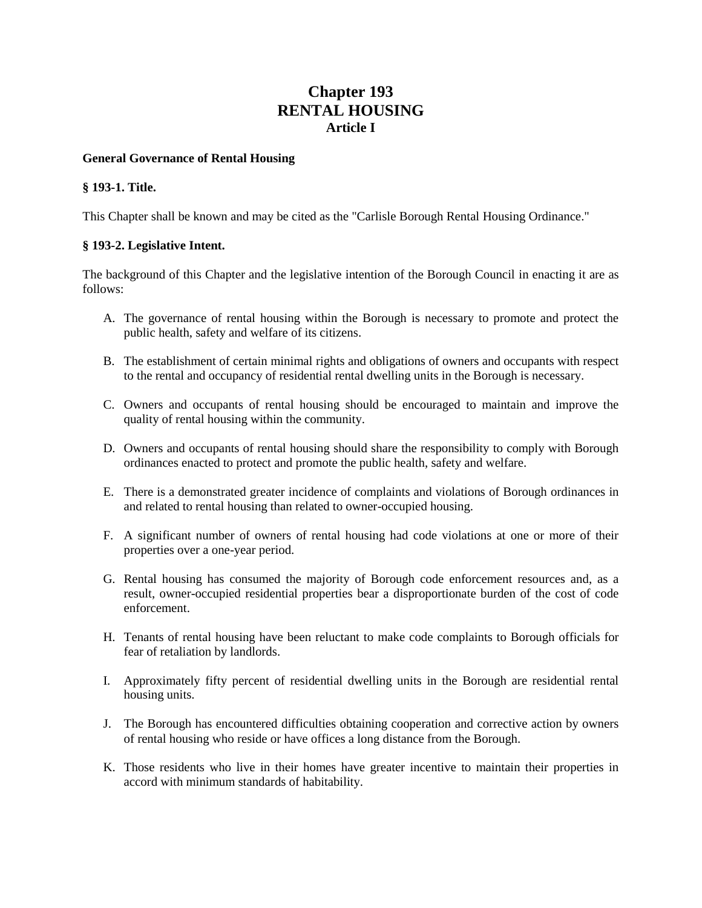# **Chapter 193 RENTAL HOUSING Article I**

### **General Governance of Rental Housing**

### **§ 193-1. Title.**

This Chapter shall be known and may be cited as the "Carlisle Borough Rental Housing Ordinance."

# **§ 193-2. Legislative Intent.**

The background of this Chapter and the legislative intention of the Borough Council in enacting it are as follows:

- A. The governance of rental housing within the Borough is necessary to promote and protect the public health, safety and welfare of its citizens.
- B. The establishment of certain minimal rights and obligations of owners and occupants with respect to the rental and occupancy of residential rental dwelling units in the Borough is necessary.
- C. Owners and occupants of rental housing should be encouraged to maintain and improve the quality of rental housing within the community.
- D. Owners and occupants of rental housing should share the responsibility to comply with Borough ordinances enacted to protect and promote the public health, safety and welfare.
- E. There is a demonstrated greater incidence of complaints and violations of Borough ordinances in and related to rental housing than related to owner-occupied housing.
- F. A significant number of owners of rental housing had code violations at one or more of their properties over a one-year period.
- G. Rental housing has consumed the majority of Borough code enforcement resources and, as a result, owner-occupied residential properties bear a disproportionate burden of the cost of code enforcement.
- H. Tenants of rental housing have been reluctant to make code complaints to Borough officials for fear of retaliation by landlords.
- I. Approximately fifty percent of residential dwelling units in the Borough are residential rental housing units.
- J. The Borough has encountered difficulties obtaining cooperation and corrective action by owners of rental housing who reside or have offices a long distance from the Borough.
- K. Those residents who live in their homes have greater incentive to maintain their properties in accord with minimum standards of habitability.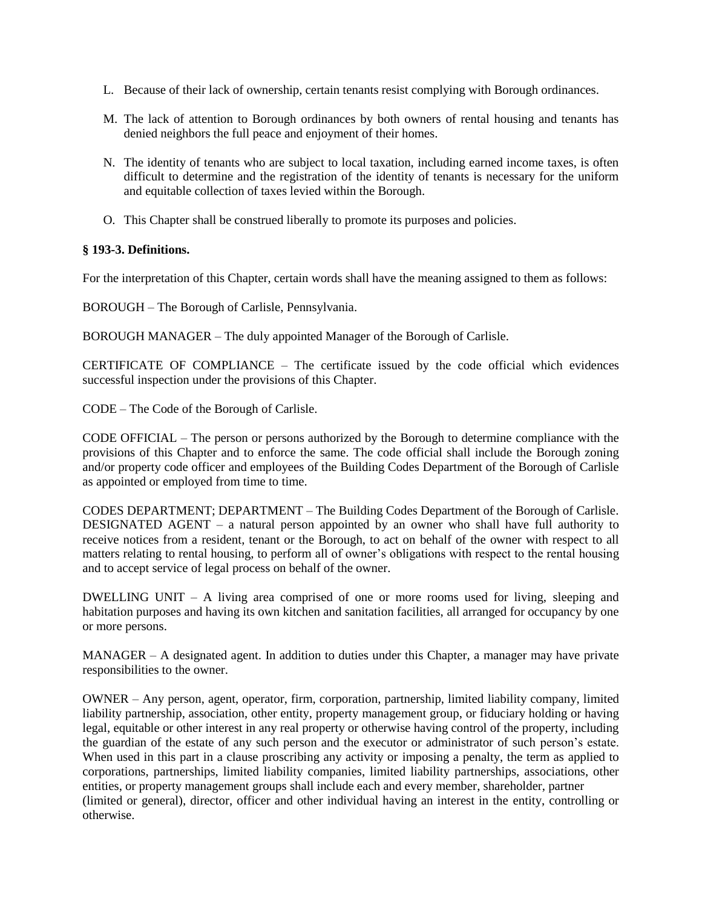- L. Because of their lack of ownership, certain tenants resist complying with Borough ordinances.
- M. The lack of attention to Borough ordinances by both owners of rental housing and tenants has denied neighbors the full peace and enjoyment of their homes.
- N. The identity of tenants who are subject to local taxation, including earned income taxes, is often difficult to determine and the registration of the identity of tenants is necessary for the uniform and equitable collection of taxes levied within the Borough.
- O. This Chapter shall be construed liberally to promote its purposes and policies.

# **§ 193-3. Definitions.**

For the interpretation of this Chapter, certain words shall have the meaning assigned to them as follows:

BOROUGH – The Borough of Carlisle, Pennsylvania.

BOROUGH MANAGER – The duly appointed Manager of the Borough of Carlisle.

CERTIFICATE OF COMPLIANCE – The certificate issued by the code official which evidences successful inspection under the provisions of this Chapter.

CODE – The Code of the Borough of Carlisle.

CODE OFFICIAL – The person or persons authorized by the Borough to determine compliance with the provisions of this Chapter and to enforce the same. The code official shall include the Borough zoning and/or property code officer and employees of the Building Codes Department of the Borough of Carlisle as appointed or employed from time to time.

CODES DEPARTMENT; DEPARTMENT – The Building Codes Department of the Borough of Carlisle. DESIGNATED AGENT – a natural person appointed by an owner who shall have full authority to receive notices from a resident, tenant or the Borough, to act on behalf of the owner with respect to all matters relating to rental housing, to perform all of owner's obligations with respect to the rental housing and to accept service of legal process on behalf of the owner.

DWELLING UNIT – A living area comprised of one or more rooms used for living, sleeping and habitation purposes and having its own kitchen and sanitation facilities, all arranged for occupancy by one or more persons.

MANAGER – A designated agent. In addition to duties under this Chapter, a manager may have private responsibilities to the owner.

OWNER – Any person, agent, operator, firm, corporation, partnership, limited liability company, limited liability partnership, association, other entity, property management group, or fiduciary holding or having legal, equitable or other interest in any real property or otherwise having control of the property, including the guardian of the estate of any such person and the executor or administrator of such person's estate. When used in this part in a clause proscribing any activity or imposing a penalty, the term as applied to corporations, partnerships, limited liability companies, limited liability partnerships, associations, other entities, or property management groups shall include each and every member, shareholder, partner (limited or general), director, officer and other individual having an interest in the entity, controlling or otherwise.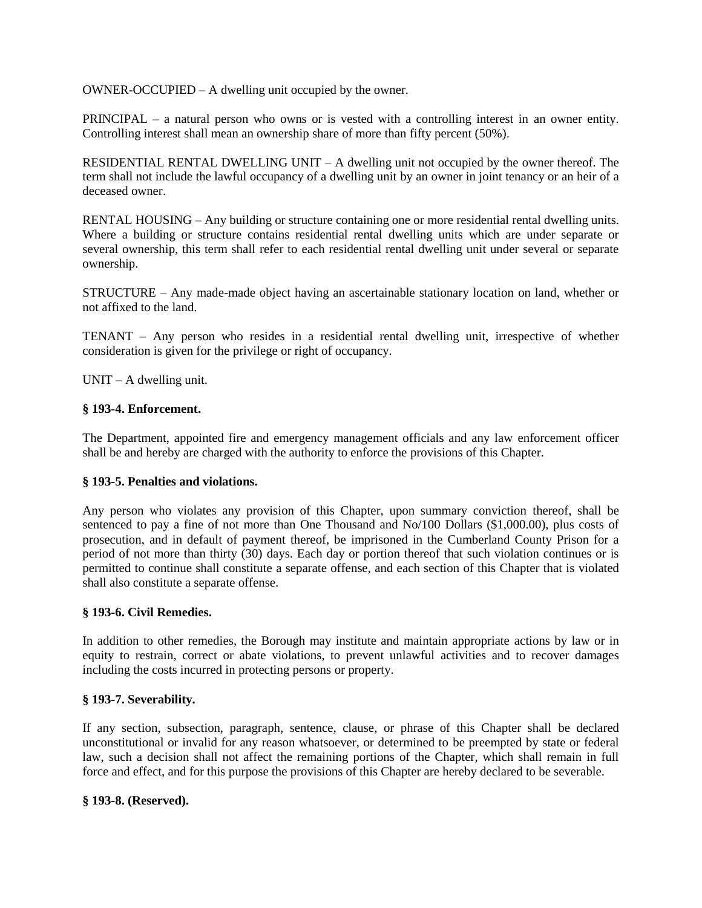OWNER-OCCUPIED – A dwelling unit occupied by the owner.

PRINCIPAL – a natural person who owns or is vested with a controlling interest in an owner entity. Controlling interest shall mean an ownership share of more than fifty percent (50%).

RESIDENTIAL RENTAL DWELLING UNIT – A dwelling unit not occupied by the owner thereof. The term shall not include the lawful occupancy of a dwelling unit by an owner in joint tenancy or an heir of a deceased owner.

RENTAL HOUSING – Any building or structure containing one or more residential rental dwelling units. Where a building or structure contains residential rental dwelling units which are under separate or several ownership, this term shall refer to each residential rental dwelling unit under several or separate ownership.

STRUCTURE – Any made-made object having an ascertainable stationary location on land, whether or not affixed to the land.

TENANT – Any person who resides in a residential rental dwelling unit, irrespective of whether consideration is given for the privilege or right of occupancy.

 $UNIT - A$  dwelling unit.

# **§ 193-4. Enforcement.**

The Department, appointed fire and emergency management officials and any law enforcement officer shall be and hereby are charged with the authority to enforce the provisions of this Chapter.

# **§ 193-5. Penalties and violations.**

Any person who violates any provision of this Chapter, upon summary conviction thereof, shall be sentenced to pay a fine of not more than One Thousand and No/100 Dollars (\$1,000.00), plus costs of prosecution, and in default of payment thereof, be imprisoned in the Cumberland County Prison for a period of not more than thirty (30) days. Each day or portion thereof that such violation continues or is permitted to continue shall constitute a separate offense, and each section of this Chapter that is violated shall also constitute a separate offense.

#### **§ 193-6. Civil Remedies.**

In addition to other remedies, the Borough may institute and maintain appropriate actions by law or in equity to restrain, correct or abate violations, to prevent unlawful activities and to recover damages including the costs incurred in protecting persons or property.

# **§ 193-7. Severability.**

If any section, subsection, paragraph, sentence, clause, or phrase of this Chapter shall be declared unconstitutional or invalid for any reason whatsoever, or determined to be preempted by state or federal law, such a decision shall not affect the remaining portions of the Chapter, which shall remain in full force and effect, and for this purpose the provisions of this Chapter are hereby declared to be severable.

#### **§ 193-8. (Reserved).**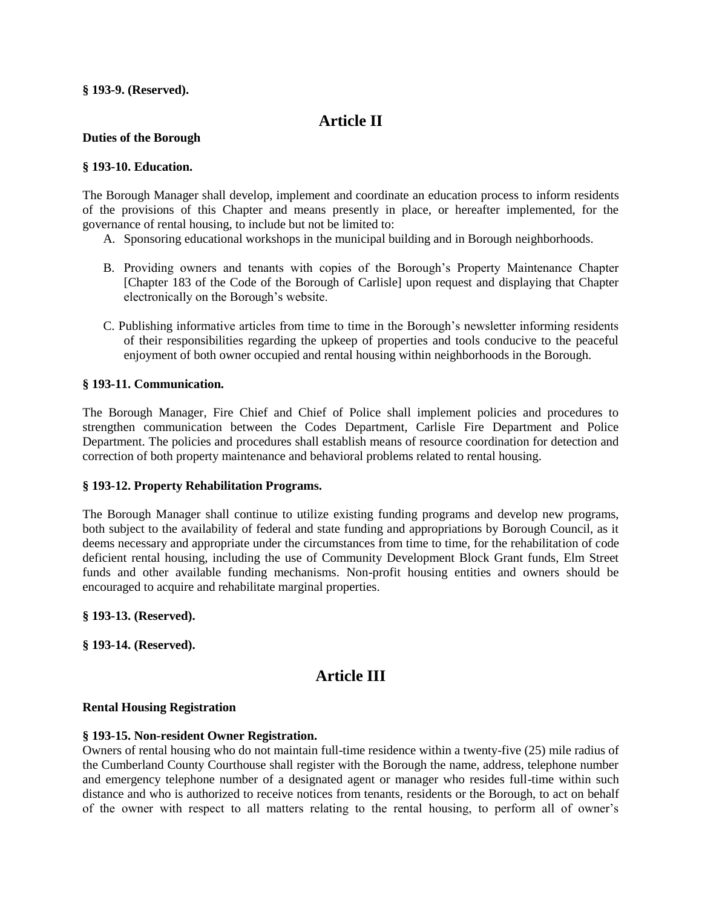#### **§ 193-9. (Reserved).**

# **Article II**

#### **Duties of the Borough**

### **§ 193-10. Education.**

The Borough Manager shall develop, implement and coordinate an education process to inform residents of the provisions of this Chapter and means presently in place, or hereafter implemented, for the governance of rental housing, to include but not be limited to:

- A. Sponsoring educational workshops in the municipal building and in Borough neighborhoods.
- B. Providing owners and tenants with copies of the Borough's Property Maintenance Chapter [Chapter 183 of the Code of the Borough of Carlisle] upon request and displaying that Chapter electronically on the Borough's website.
- C. Publishing informative articles from time to time in the Borough's newsletter informing residents of their responsibilities regarding the upkeep of properties and tools conducive to the peaceful enjoyment of both owner occupied and rental housing within neighborhoods in the Borough.

# **§ 193-11. Communication.**

The Borough Manager, Fire Chief and Chief of Police shall implement policies and procedures to strengthen communication between the Codes Department, Carlisle Fire Department and Police Department. The policies and procedures shall establish means of resource coordination for detection and correction of both property maintenance and behavioral problems related to rental housing.

# **§ 193-12. Property Rehabilitation Programs.**

The Borough Manager shall continue to utilize existing funding programs and develop new programs, both subject to the availability of federal and state funding and appropriations by Borough Council, as it deems necessary and appropriate under the circumstances from time to time, for the rehabilitation of code deficient rental housing, including the use of Community Development Block Grant funds, Elm Street funds and other available funding mechanisms. Non-profit housing entities and owners should be encouraged to acquire and rehabilitate marginal properties.

#### **§ 193-13. (Reserved).**

**§ 193-14. (Reserved).**

# **Article III**

#### **Rental Housing Registration**

#### **§ 193-15. Non-resident Owner Registration.**

Owners of rental housing who do not maintain full-time residence within a twenty-five (25) mile radius of the Cumberland County Courthouse shall register with the Borough the name, address, telephone number and emergency telephone number of a designated agent or manager who resides full-time within such distance and who is authorized to receive notices from tenants, residents or the Borough, to act on behalf of the owner with respect to all matters relating to the rental housing, to perform all of owner's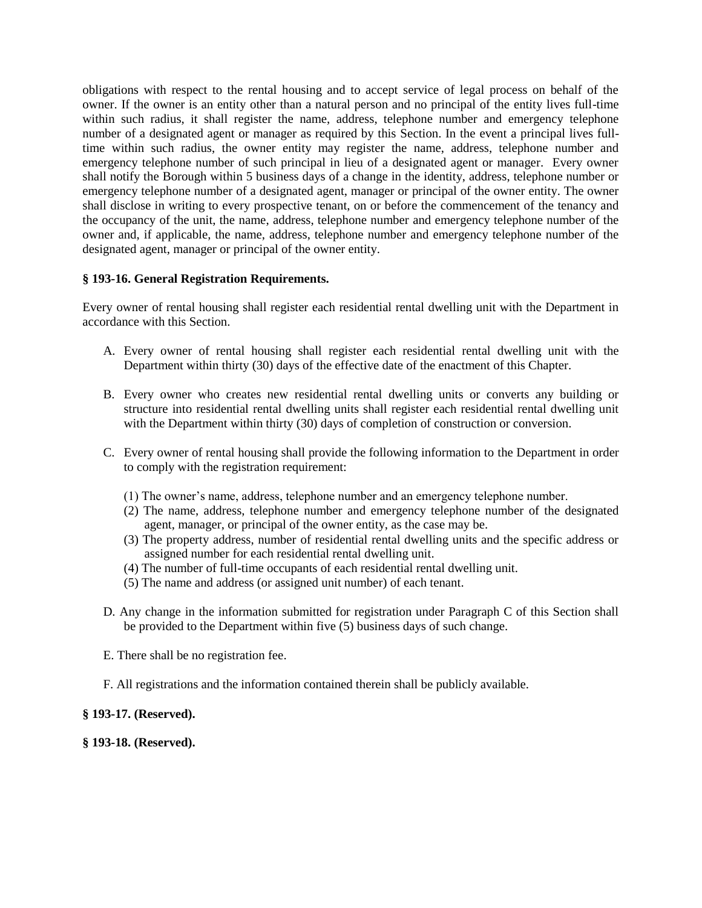obligations with respect to the rental housing and to accept service of legal process on behalf of the owner. If the owner is an entity other than a natural person and no principal of the entity lives full-time within such radius, it shall register the name, address, telephone number and emergency telephone number of a designated agent or manager as required by this Section. In the event a principal lives fulltime within such radius, the owner entity may register the name, address, telephone number and emergency telephone number of such principal in lieu of a designated agent or manager. Every owner shall notify the Borough within 5 business days of a change in the identity, address, telephone number or emergency telephone number of a designated agent, manager or principal of the owner entity. The owner shall disclose in writing to every prospective tenant, on or before the commencement of the tenancy and the occupancy of the unit, the name, address, telephone number and emergency telephone number of the owner and, if applicable, the name, address, telephone number and emergency telephone number of the designated agent, manager or principal of the owner entity.

# **§ 193-16. General Registration Requirements.**

Every owner of rental housing shall register each residential rental dwelling unit with the Department in accordance with this Section.

- A. Every owner of rental housing shall register each residential rental dwelling unit with the Department within thirty (30) days of the effective date of the enactment of this Chapter.
- B. Every owner who creates new residential rental dwelling units or converts any building or structure into residential rental dwelling units shall register each residential rental dwelling unit with the Department within thirty (30) days of completion of construction or conversion.
- C. Every owner of rental housing shall provide the following information to the Department in order to comply with the registration requirement:
	- (1) The owner's name, address, telephone number and an emergency telephone number.
	- (2) The name, address, telephone number and emergency telephone number of the designated agent, manager, or principal of the owner entity, as the case may be.
	- (3) The property address, number of residential rental dwelling units and the specific address or assigned number for each residential rental dwelling unit.
	- (4) The number of full-time occupants of each residential rental dwelling unit.
	- (5) The name and address (or assigned unit number) of each tenant.
- D. Any change in the information submitted for registration under Paragraph C of this Section shall be provided to the Department within five (5) business days of such change.
- E. There shall be no registration fee.
- F. All registrations and the information contained therein shall be publicly available.

# **§ 193-17. (Reserved).**

**§ 193-18. (Reserved).**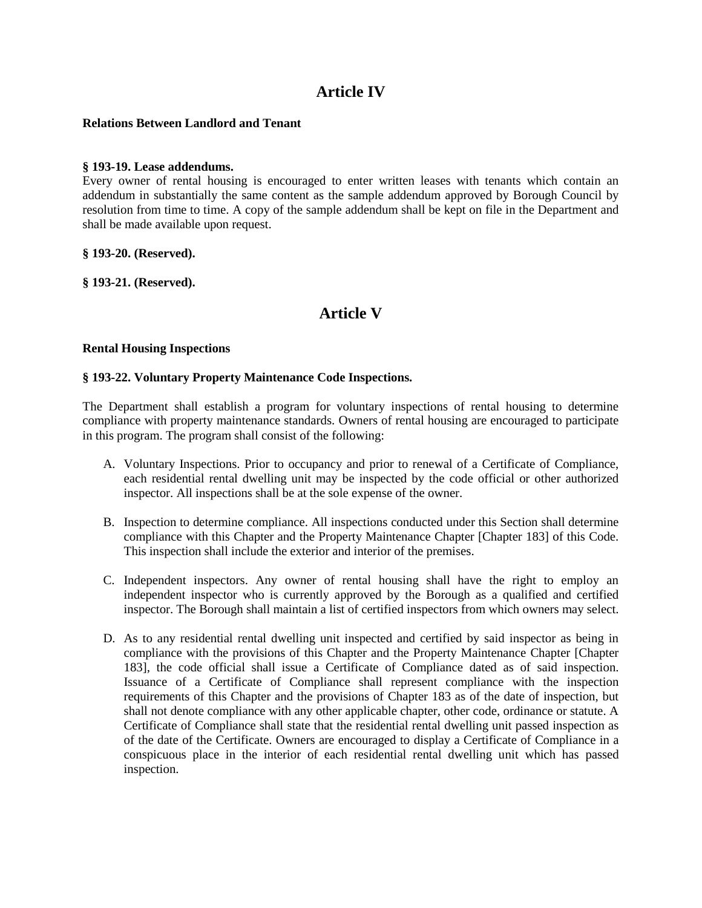# **Article IV**

# **Relations Between Landlord and Tenant**

# **§ 193-19. Lease addendums.**

Every owner of rental housing is encouraged to enter written leases with tenants which contain an addendum in substantially the same content as the sample addendum approved by Borough Council by resolution from time to time. A copy of the sample addendum shall be kept on file in the Department and shall be made available upon request.

#### **§ 193-20. (Reserved).**

**§ 193-21. (Reserved).**

# **Article V**

#### **Rental Housing Inspections**

#### **§ 193-22. Voluntary Property Maintenance Code Inspections.**

The Department shall establish a program for voluntary inspections of rental housing to determine compliance with property maintenance standards. Owners of rental housing are encouraged to participate in this program. The program shall consist of the following:

- A. Voluntary Inspections. Prior to occupancy and prior to renewal of a Certificate of Compliance, each residential rental dwelling unit may be inspected by the code official or other authorized inspector. All inspections shall be at the sole expense of the owner.
- B. Inspection to determine compliance. All inspections conducted under this Section shall determine compliance with this Chapter and the Property Maintenance Chapter [Chapter 183] of this Code. This inspection shall include the exterior and interior of the premises.
- C. Independent inspectors. Any owner of rental housing shall have the right to employ an independent inspector who is currently approved by the Borough as a qualified and certified inspector. The Borough shall maintain a list of certified inspectors from which owners may select.
- D. As to any residential rental dwelling unit inspected and certified by said inspector as being in compliance with the provisions of this Chapter and the Property Maintenance Chapter [Chapter 183], the code official shall issue a Certificate of Compliance dated as of said inspection. Issuance of a Certificate of Compliance shall represent compliance with the inspection requirements of this Chapter and the provisions of Chapter 183 as of the date of inspection, but shall not denote compliance with any other applicable chapter, other code, ordinance or statute. A Certificate of Compliance shall state that the residential rental dwelling unit passed inspection as of the date of the Certificate. Owners are encouraged to display a Certificate of Compliance in a conspicuous place in the interior of each residential rental dwelling unit which has passed inspection.